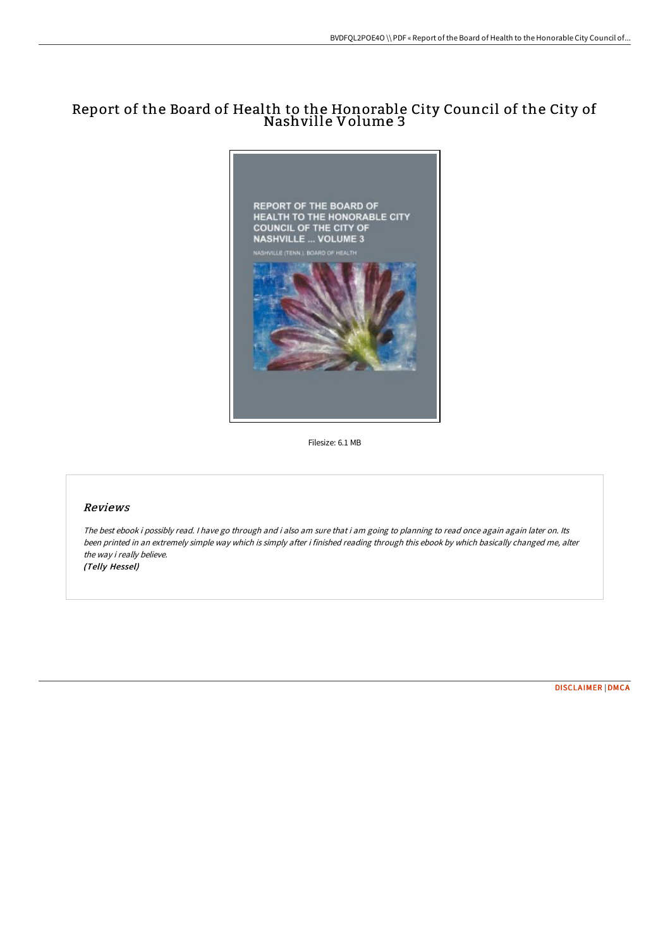# Report of the Board of Health to the Honorable City Council of the City of Nashville Volume 3



Filesize: 6.1 MB

### Reviews

The best ebook i possibly read. I have go through and i also am sure that i am going to planning to read once again again later on. Its been printed in an extremely simple way which is simply after i finished reading through this ebook by which basically changed me, alter the way i really believe. (Telly Hessel)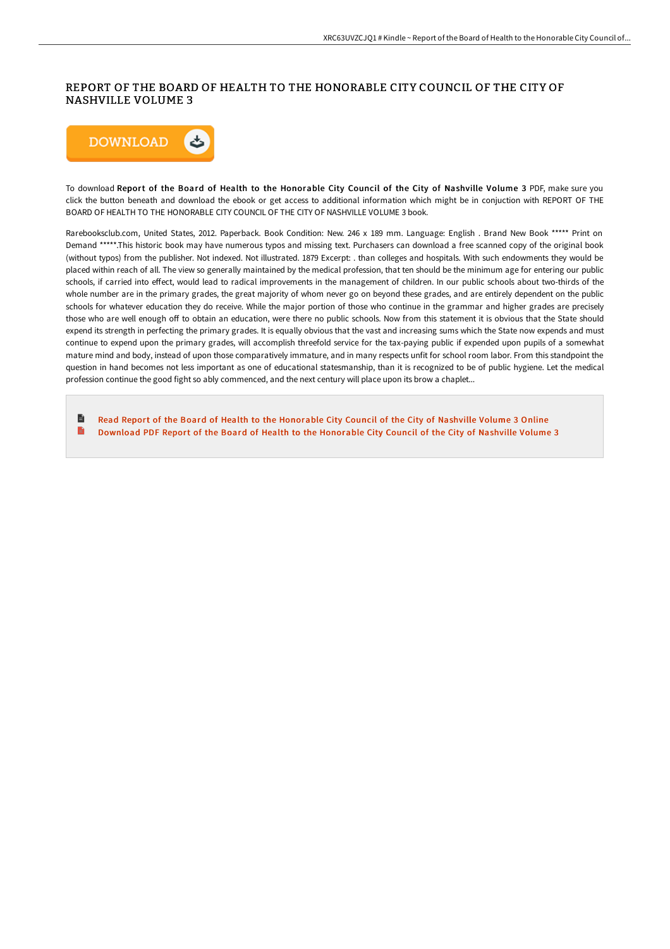## REPORT OF THE BOARD OF HEALTH TO THE HONORABLE CITY COUNCIL OF THE CITY OF NASHVILLE VOLUME 3



To download Report of the Board of Health to the Honorable City Council of the City of Nashville Volume 3 PDF, make sure you click the button beneath and download the ebook or get access to additional information which might be in conjuction with REPORT OF THE BOARD OF HEALTH TO THE HONORABLE CITY COUNCIL OF THE CITY OF NASHVILLE VOLUME 3 book.

Rarebooksclub.com, United States, 2012. Paperback. Book Condition: New. 246 x 189 mm. Language: English . Brand New Book \*\*\*\*\* Print on Demand \*\*\*\*\*.This historic book may have numerous typos and missing text. Purchasers can download a free scanned copy of the original book (without typos) from the publisher. Not indexed. Not illustrated. 1879 Excerpt: . than colleges and hospitals. With such endowments they would be placed within reach of all. The view so generally maintained by the medical profession, that ten should be the minimum age for entering our public schools, if carried into effect, would lead to radical improvements in the management of children. In our public schools about two-thirds of the whole number are in the primary grades, the great majority of whom never go on beyond these grades, and are entirely dependent on the public schools for whatever education they do receive. While the major portion of those who continue in the grammar and higher grades are precisely those who are well enough off to obtain an education, were there no public schools. Now from this statement it is obvious that the State should expend its strength in perfecting the primary grades. It is equally obvious that the vast and increasing sums which the State now expends and must continue to expend upon the primary grades, will accomplish threefold service for the tax-paying public if expended upon pupils of a somewhat mature mind and body, instead of upon those comparatively immature, and in many respects unfit for school room labor. From this standpoint the question in hand becomes not less important as one of educational statesmanship, than it is recognized to be of public hygiene. Let the medical profession continue the good fight so ably commenced, and the next century will place upon its brow a chaplet...

**D** Read Report of the Board of Health to the [Honorable](http://albedo.media/report-of-the-board-of-health-to-the-honorable-c.html) City Council of the City of Nashville Volume 3 Online B Download PDF Report of the Board of Health to the [Honorable](http://albedo.media/report-of-the-board-of-health-to-the-honorable-c.html) City Council of the City of Nashville Volume 3